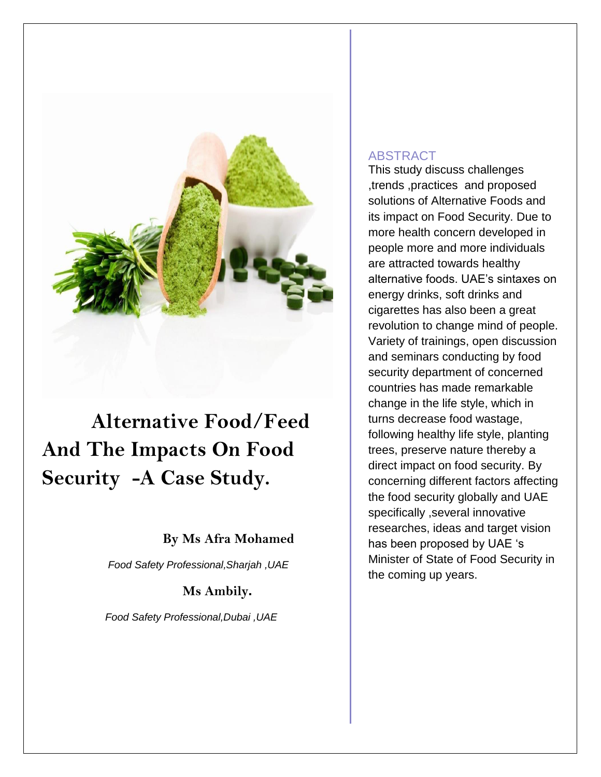

# **Alternative Food/Feed And The Impacts On Food Security -A Case Study.**

# **By Ms Afra Mohamed**

 *Food Safety Professional,Sharjah ,UAE*

**Ms Ambily.**

 *Food Safety Professional,Dubai ,UAE*

# ABSTRACT

This study discuss challenges ,trends ,practices and proposed solutions of Alternative Foods and its impact on Food Security. Due to more health concern developed in people more and more individuals are attracted towards healthy alternative foods. UAE's sintaxes on energy drinks, soft drinks and cigarettes has also been a great revolution to change mind of people. Variety of trainings, open discussion and seminars conducting by food security department of concerned countries has made remarkable change in the life style, which in turns decrease food wastage, following healthy life style, planting trees, preserve nature thereby a direct impact on food security. By concerning different factors affecting the food security globally and UAE specifically ,several innovative researches, ideas and target vision has been proposed by UAE 's Minister of State of Food Security in the coming up years.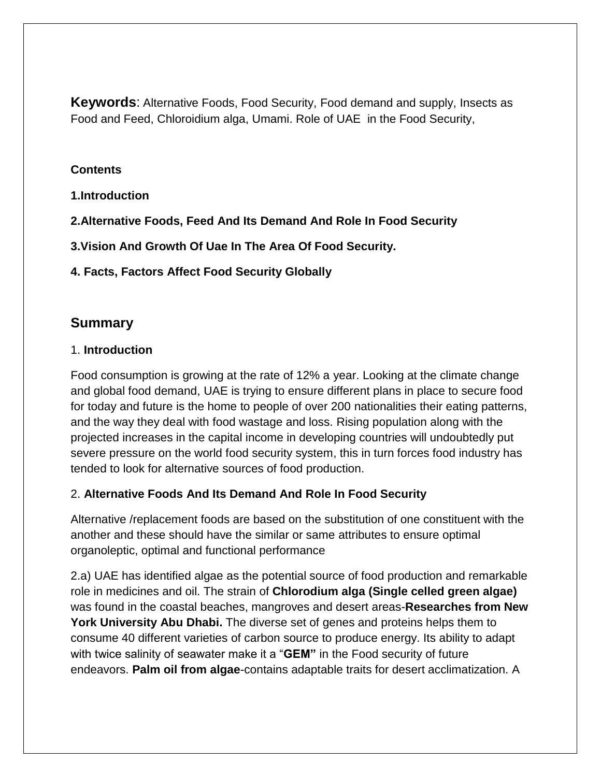**Keywords**: Alternative Foods, Food Security, Food demand and supply, Insects as Food and Feed, Chloroidium alga, Umami. Role of UAE in the Food Security,

#### **Contents**

**1.Introduction**

**2.Alternative Foods, Feed And Its Demand And Role In Food Security**

**3.Vision And Growth Of Uae In The Area Of Food Security.**

### **4. Facts, Factors Affect Food Security Globally**

# **Summary**

#### 1. **Introduction**

Food consumption is growing at the rate of 12% a year. Looking at the climate change and global food demand, UAE is trying to ensure different plans in place to secure food for today and future is the home to people of over 200 nationalities their eating patterns, and the way they deal with food wastage and loss. Rising population along with the projected increases in the capital income in developing countries will undoubtedly put severe pressure on the world food security system, this in turn forces food industry has tended to look for alternative sources of food production.

# 2. **Alternative Foods And Its Demand And Role In Food Security**

Alternative /replacement foods are based on the substitution of one constituent with the another and these should have the similar or same attributes to ensure optimal organoleptic, optimal and functional performance

2.a) UAE has identified algae as the potential source of food production and remarkable role in medicines and oil. The strain of **Chlorodium alga (Single celled green algae)** was found in the coastal beaches, mangroves and desert areas-**Researches from New York University Abu Dhabi.** The diverse set of genes and proteins helps them to consume 40 different varieties of carbon source to produce energy. Its ability to adapt with twice salinity of seawater make it a "**GEM"** in the Food security of future endeavors. **Palm oil from algae**-contains adaptable traits for desert acclimatization. A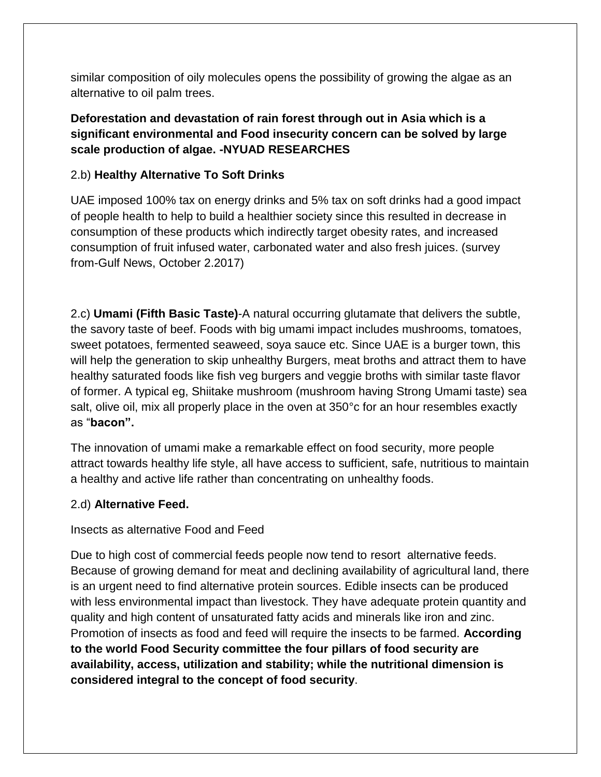similar composition of oily molecules opens the possibility of growing the algae as an alternative to oil palm trees.

## **Deforestation and devastation of rain forest through out in Asia which is a significant environmental and Food insecurity concern can be solved by large scale production of algae. -NYUAD RESEARCHES**

#### 2.b) **Healthy Alternative To Soft Drinks**

UAE imposed 100% tax on energy drinks and 5% tax on soft drinks had a good impact of people health to help to build a healthier society since this resulted in decrease in consumption of these products which indirectly target obesity rates, and increased consumption of fruit infused water, carbonated water and also fresh juices. (survey from-Gulf News, October 2.2017)

2.c) **Umami (Fifth Basic Taste)**-A natural occurring glutamate that delivers the subtle, the savory taste of beef. Foods with big umami impact includes mushrooms, tomatoes, sweet potatoes, fermented seaweed, soya sauce etc. Since UAE is a burger town, this will help the generation to skip unhealthy Burgers, meat broths and attract them to have healthy saturated foods like fish veg burgers and veggie broths with similar taste flavor of former. A typical eg, Shiitake mushroom (mushroom having Strong Umami taste) sea salt, olive oil, mix all properly place in the oven at 350°c for an hour resembles exactly as "**bacon".**

The innovation of umami make a remarkable effect on food security, more people attract towards healthy life style, all have access to sufficient, safe, nutritious to maintain a healthy and active life rather than concentrating on unhealthy foods.

#### 2.d) **Alternative Feed.**

Insects as alternative Food and Feed

Due to high cost of commercial feeds people now tend to resort alternative feeds. Because of growing demand for meat and declining availability of agricultural land, there is an urgent need to find alternative protein sources. Edible insects can be produced with less environmental impact than livestock. They have adequate protein quantity and quality and high content of unsaturated fatty acids and minerals like iron and zinc. Promotion of insects as food and feed will require the insects to be farmed. **According to the world Food Security committee the four pillars of food security are availability, access, utilization and stability; while the nutritional dimension is considered integral to the concept of food security**.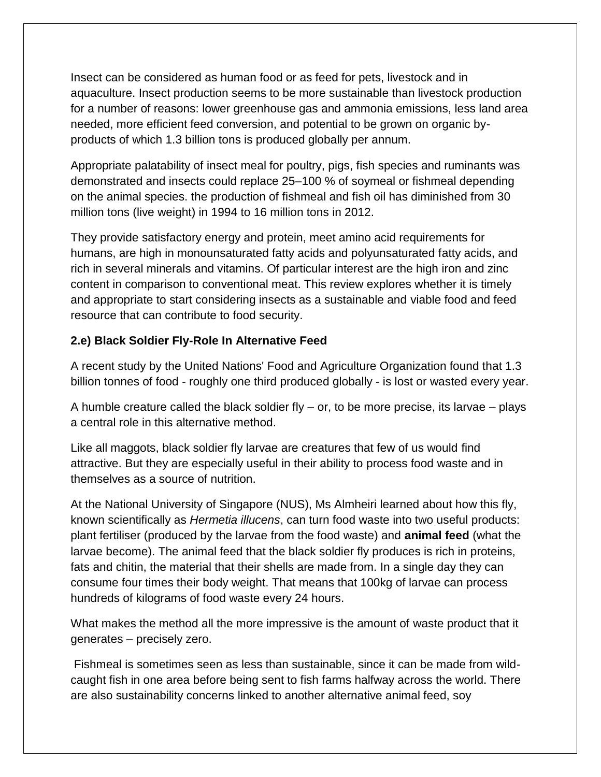Insect can be considered as human food or as feed for pets, livestock and in aquaculture. Insect production seems to be more sustainable than livestock production for a number of reasons: lower greenhouse gas and ammonia emissions, less land area needed, more efficient feed conversion, and potential to be grown on organic byproducts of which 1.3 billion tons is produced globally per annum.

Appropriate palatability of insect meal for poultry, pigs, fish species and ruminants was demonstrated and insects could replace 25–100 % of soymeal or fishmeal depending on the animal species. the production of fishmeal and fish oil has diminished from 30 million tons (live weight) in 1994 to 16 million tons in 2012.

They provide satisfactory energy and protein, meet amino acid requirements for humans, are high in monounsaturated fatty acids and polyunsaturated fatty acids, and rich in several minerals and vitamins. Of particular interest are the high iron and zinc content in comparison to conventional meat. This review explores whether it is timely and appropriate to start considering insects as a sustainable and viable food and feed resource that can contribute to food security.

#### **2.e) Black Soldier Fly-Role In Alternative Feed**

A recent study by the United Nations' Food and Agriculture Organization found that 1.3 billion tonnes of food - roughly one third produced globally - is lost or wasted every year.

A humble creature called the black soldier fly  $-$  or, to be more precise, its larvae  $-$  plays a central role in this alternative method.

Like all maggots, black soldier fly larvae are creatures that few of us would find attractive. But they are especially useful in their ability to process food waste and in themselves as a source of nutrition.

At the National University of Singapore (NUS), Ms Almheiri learned about how this fly, known scientifically as *Hermetia illucens*, can turn food waste into two useful products: plant fertiliser (produced by the larvae from the food waste) and **animal feed** (what the larvae become). The animal feed that the black soldier fly produces is rich in proteins, fats and chitin, the material that their shells are made from. In a single day they can consume four times their body weight. That means that 100kg of larvae can process hundreds of kilograms of food waste every 24 hours.

What makes the method all the more impressive is the amount of waste product that it generates – precisely zero.

Fishmeal is sometimes seen as less than sustainable, since it can be made from wildcaught fish in one area before being sent to fish farms halfway across the world. There are also sustainability concerns linked to another alternative animal feed, soy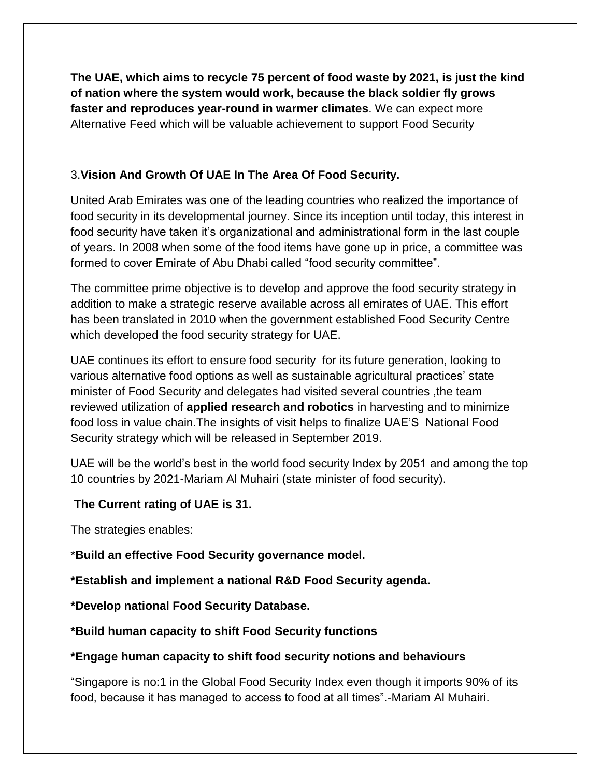**The UAE, which aims to recycle 75 percent of food waste by 2021, is just the kind of nation where the system would work, because the black soldier fly grows faster and reproduces year-round in warmer climates**. We can expect more Alternative Feed which will be valuable achievement to support Food Security

# 3.**Vision And Growth Of UAE In The Area Of Food Security.**

United Arab Emirates was one of the leading countries who realized the importance of food security in its developmental journey. Since its inception until today, this interest in food security have taken it's organizational and administrational form in the last couple of years. In 2008 when some of the food items have gone up in price, a committee was formed to cover Emirate of Abu Dhabi called "food security committee".

The committee prime objective is to develop and approve the food security strategy in addition to make a strategic reserve available across all emirates of UAE. This effort has been translated in 2010 when the government established Food Security Centre which developed the food security strategy for UAE.

UAE continues its effort to ensure food security for its future generation, looking to various alternative food options as well as sustainable agricultural practices' state minister of Food Security and delegates had visited several countries ,the team reviewed utilization of **applied research and robotics** in harvesting and to minimize food loss in value chain.The insights of visit helps to finalize UAE'S National Food Security strategy which will be released in September 2019.

UAE will be the world's best in the world food security Index by 2051 and among the top 10 countries by 2021-Mariam Al Muhairi (state minister of food security).

# **The Current rating of UAE is 31.**

The strategies enables:

\***Build an effective Food Security governance model.**

**\*Establish and implement a national R&D Food Security agenda.**

**\*Develop national Food Security Database.**

**\*Build human capacity to shift Food Security functions**

# **\*Engage human capacity to shift food security notions and behaviours**

"Singapore is no:1 in the Global Food Security Index even though it imports 90% of its food, because it has managed to access to food at all times".-Mariam Al Muhairi.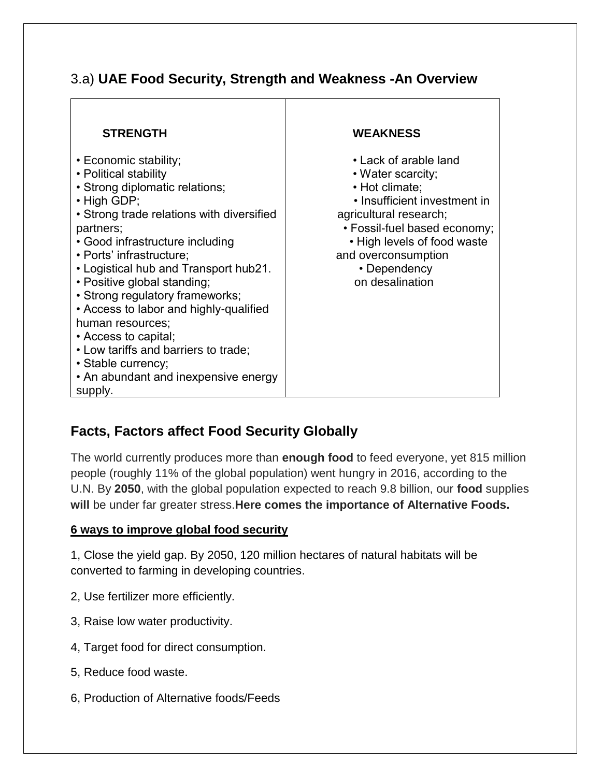# 3.a) **UAE Food Security, Strength and Weakness -An Overview**

| <b>STRENGTH</b>                                                                                                                                                                                                                                                                                                                                                                                                                                                                                                                                  | <b>WEAKNESS</b>                                                                                                                                                                                                                                 |
|--------------------------------------------------------------------------------------------------------------------------------------------------------------------------------------------------------------------------------------------------------------------------------------------------------------------------------------------------------------------------------------------------------------------------------------------------------------------------------------------------------------------------------------------------|-------------------------------------------------------------------------------------------------------------------------------------------------------------------------------------------------------------------------------------------------|
| • Economic stability;<br>• Political stability<br>• Strong diplomatic relations;<br>$\cdot$ High GDP;<br>• Strong trade relations with diversified<br>partners;<br>• Good infrastructure including<br>• Ports' infrastructure;<br>• Logistical hub and Transport hub21.<br>• Positive global standing;<br>· Strong regulatory frameworks;<br>• Access to labor and highly-qualified<br>human resources;<br>• Access to capital;<br>• Low tariffs and barriers to trade;<br>· Stable currency;<br>• An abundant and inexpensive energy<br>supply. | • Lack of arable land<br>• Water scarcity;<br>• Hot climate;<br>• Insufficient investment in<br>agricultural research;<br>• Fossil-fuel based economy;<br>• High levels of food waste<br>and overconsumption<br>• Dependency<br>on desalination |

# **Facts, Factors affect Food Security Globally**

The world currently produces more than **enough food** to feed everyone, yet 815 million people (roughly 11% of the global population) went hungry in 2016, according to the U.N. By **2050**, with the global population expected to reach 9.8 billion, our **food** supplies **will** be under far greater stress.**Here comes the importance of Alternative Foods.**

#### **6 ways to improve global food security**

1, Close the yield gap. By 2050, 120 million hectares of natural habitats will be converted to farming in developing countries.

- 2, Use fertilizer more efficiently.
- 3, Raise low water productivity.
- 4, Target food for direct consumption.
- 5, Reduce food waste.
- 6, Production of Alternative foods/Feeds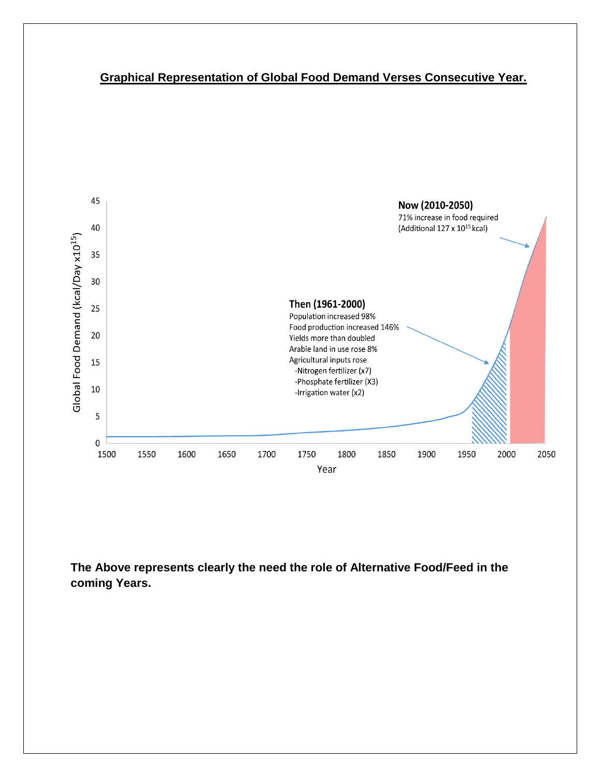# **Graphical Representation of Global Food Demand Verses Consecutive Year.**



**The Above represents clearly the need the role of Alternative Food/Feed in the coming Years.**